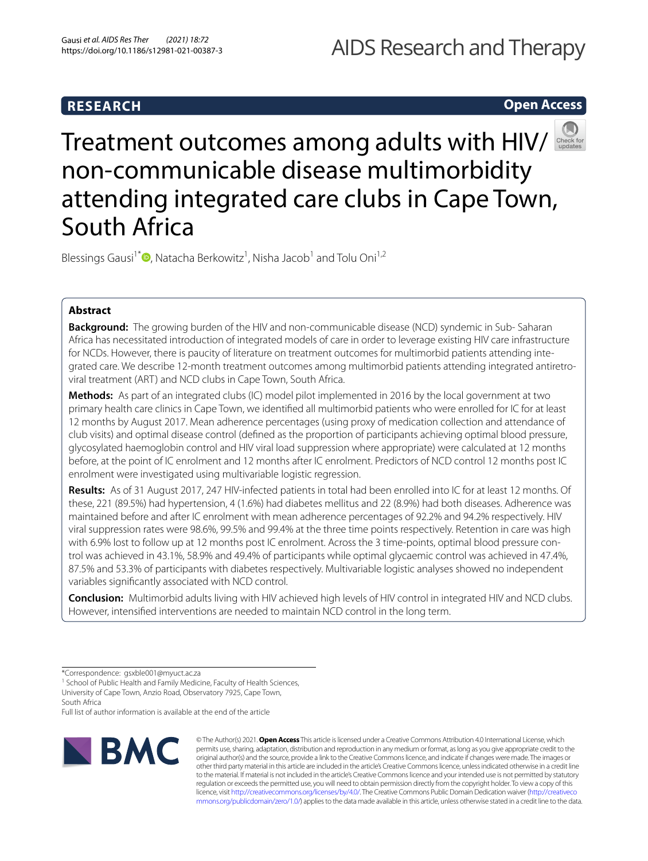# **Open Access**



Treatment outcomes among adults with HIV/ non-communicable disease multimorbidity attending integrated care clubs in Cape Town, South Africa

Blessings Gausi<sup>1[\\*](http://orcid.org/0000-0002-1451-4585)</sup><sup>®</sup>, Natacha Berkowitz<sup>1</sup>, Nisha Jacob<sup>1</sup> and Tolu Oni<sup>1,2</sup>

# **Abstract**

**Background:** The growing burden of the HIV and non-communicable disease (NCD) syndemic in Sub- Saharan Africa has necessitated introduction of integrated models of care in order to leverage existing HIV care infrastructure for NCDs. However, there is paucity of literature on treatment outcomes for multimorbid patients attending integrated care. We describe 12-month treatment outcomes among multimorbid patients attending integrated antiretroviral treatment (ART) and NCD clubs in Cape Town, South Africa.

**Methods:** As part of an integrated clubs (IC) model pilot implemented in 2016 by the local government at two primary health care clinics in Cape Town, we identifed all multimorbid patients who were enrolled for IC for at least 12 months by August 2017. Mean adherence percentages (using proxy of medication collection and attendance of club visits) and optimal disease control (defned as the proportion of participants achieving optimal blood pressure, glycosylated haemoglobin control and HIV viral load suppression where appropriate) were calculated at 12 months before, at the point of IC enrolment and 12 months after IC enrolment. Predictors of NCD control 12 months post IC enrolment were investigated using multivariable logistic regression.

**Results:** As of 31 August 2017, 247 HIV-infected patients in total had been enrolled into IC for at least 12 months. Of these, 221 (89.5%) had hypertension, 4 (1.6%) had diabetes mellitus and 22 (8.9%) had both diseases. Adherence was maintained before and after IC enrolment with mean adherence percentages of 92.2% and 94.2% respectively. HIV viral suppression rates were 98.6%, 99.5% and 99.4% at the three time points respectively. Retention in care was high with 6.9% lost to follow up at 12 months post IC enrolment. Across the 3 time-points, optimal blood pressure control was achieved in 43.1%, 58.9% and 49.4% of participants while optimal glycaemic control was achieved in 47.4%, 87.5% and 53.3% of participants with diabetes respectively. Multivariable logistic analyses showed no independent variables signifcantly associated with NCD control.

**Conclusion:** Multimorbid adults living with HIV achieved high levels of HIV control in integrated HIV and NCD clubs. However, intensifed interventions are needed to maintain NCD control in the long term.

<sup>1</sup> School of Public Health and Family Medicine, Faculty of Health Sciences, University of Cape Town, Anzio Road, Observatory 7925, Cape Town, South Africa

Full list of author information is available at the end of the article



© The Author(s) 2021. **Open Access** This article is licensed under a Creative Commons Attribution 4.0 International License, which permits use, sharing, adaptation, distribution and reproduction in any medium or format, as long as you give appropriate credit to the original author(s) and the source, provide a link to the Creative Commons licence, and indicate if changes were made. The images or other third party material in this article are included in the article's Creative Commons licence, unless indicated otherwise in a credit line to the material. If material is not included in the article's Creative Commons licence and your intended use is not permitted by statutory regulation or exceeds the permitted use, you will need to obtain permission directly from the copyright holder. To view a copy of this licence, visit [http://creativecommons.org/licenses/by/4.0/.](http://creativecommons.org/licenses/by/4.0/) The Creative Commons Public Domain Dedication waiver ([http://creativeco](http://creativecommons.org/publicdomain/zero/1.0/) [mmons.org/publicdomain/zero/1.0/](http://creativecommons.org/publicdomain/zero/1.0/)) applies to the data made available in this article, unless otherwise stated in a credit line to the data.

<sup>\*</sup>Correspondence: gsxble001@myuct.ac.za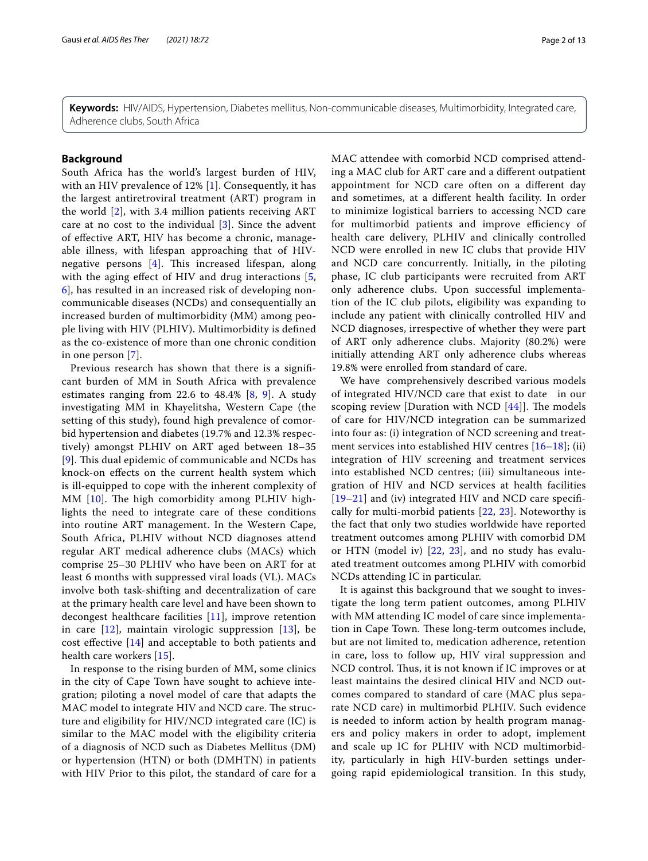**Keywords:** HIV/AIDS, Hypertension, Diabetes mellitus, Non-communicable diseases, Multimorbidity, Integrated care, Adherence clubs, South Africa

# **Background**

South Africa has the world's largest burden of HIV, with an HIV prevalence of 12% [\[1\]](#page-11-0). Consequently, it has the largest antiretroviral treatment (ART) program in the world [[2](#page-11-1)], with 3.4 million patients receiving ART care at no cost to the individual [\[3](#page-11-2)]. Since the advent of efective ART, HIV has become a chronic, manageable illness, with lifespan approaching that of HIVnegative persons  $[4]$  $[4]$ . This increased lifespan, along with the aging effect of HIV and drug interactions [\[5](#page-11-4), [6\]](#page-11-5), has resulted in an increased risk of developing noncommunicable diseases (NCDs) and consequentially an increased burden of multimorbidity (MM) among people living with HIV (PLHIV). Multimorbidity is defned as the co-existence of more than one chronic condition in one person [[7](#page-11-6)].

Previous research has shown that there is a signifcant burden of MM in South Africa with prevalence estimates ranging from 22.6 to 48.4% [\[8,](#page-11-7) [9](#page-11-8)]. A study investigating MM in Khayelitsha, Western Cape (the setting of this study), found high prevalence of comorbid hypertension and diabetes (19.7% and 12.3% respectively) amongst PLHIV on ART aged between 18–35  $[9]$  $[9]$  $[9]$ . This dual epidemic of communicable and NCDs has knock-on efects on the current health system which is ill-equipped to cope with the inherent complexity of MM  $[10]$  $[10]$ . The high comorbidity among PLHIV highlights the need to integrate care of these conditions into routine ART management. In the Western Cape, South Africa, PLHIV without NCD diagnoses attend regular ART medical adherence clubs (MACs) which comprise 25–30 PLHIV who have been on ART for at least 6 months with suppressed viral loads (VL). MACs involve both task-shifting and decentralization of care at the primary health care level and have been shown to decongest healthcare facilities [\[11](#page-11-10)], improve retention in care  $[12]$  $[12]$  $[12]$ , maintain virologic suppression  $[13]$  $[13]$  $[13]$ , be cost efective [\[14](#page-11-13)] and acceptable to both patients and health care workers [[15](#page-11-14)].

In response to the rising burden of MM, some clinics in the city of Cape Town have sought to achieve integration; piloting a novel model of care that adapts the MAC model to integrate HIV and NCD care. The structure and eligibility for HIV/NCD integrated care (IC) is similar to the MAC model with the eligibility criteria of a diagnosis of NCD such as Diabetes Mellitus (DM) or hypertension (HTN) or both (DMHTN) in patients with HIV Prior to this pilot, the standard of care for a MAC attendee with comorbid NCD comprised attending a MAC club for ART care and a diferent outpatient appointment for NCD care often on a diferent day and sometimes, at a diferent health facility. In order to minimize logistical barriers to accessing NCD care for multimorbid patients and improve efficiency of health care delivery, PLHIV and clinically controlled NCD were enrolled in new IC clubs that provide HIV and NCD care concurrently. Initially, in the piloting phase, IC club participants were recruited from ART only adherence clubs. Upon successful implementation of the IC club pilots, eligibility was expanding to include any patient with clinically controlled HIV and NCD diagnoses, irrespective of whether they were part of ART only adherence clubs. Majority (80.2%) were initially attending ART only adherence clubs whereas 19.8% were enrolled from standard of care.

We have comprehensively described various models of integrated HIV/NCD care that exist to date in our scoping review [Duration with NCD  $[44]$  $[44]$  $[44]$ ]. The models of care for HIV/NCD integration can be summarized into four as: (i) integration of NCD screening and treatment services into established HIV centres [[16–](#page-11-15)[18](#page-12-1)]; (ii) integration of HIV screening and treatment services into established NCD centres; (iii) simultaneous integration of HIV and NCD services at health facilities [[19](#page-12-2)[–21](#page-12-3)] and (iv) integrated HIV and NCD care specifcally for multi-morbid patients [\[22](#page-12-4), [23](#page-12-5)]. Noteworthy is the fact that only two studies worldwide have reported treatment outcomes among PLHIV with comorbid DM or HTN (model iv) [\[22](#page-12-4), [23\]](#page-12-5), and no study has evaluated treatment outcomes among PLHIV with comorbid NCDs attending IC in particular.

It is against this background that we sought to investigate the long term patient outcomes, among PLHIV with MM attending IC model of care since implementation in Cape Town. These long-term outcomes include, but are not limited to, medication adherence, retention in care, loss to follow up, HIV viral suppression and NCD control. Thus, it is not known if IC improves or at least maintains the desired clinical HIV and NCD outcomes compared to standard of care (MAC plus separate NCD care) in multimorbid PLHIV. Such evidence is needed to inform action by health program managers and policy makers in order to adopt, implement and scale up IC for PLHIV with NCD multimorbidity, particularly in high HIV-burden settings undergoing rapid epidemiological transition. In this study,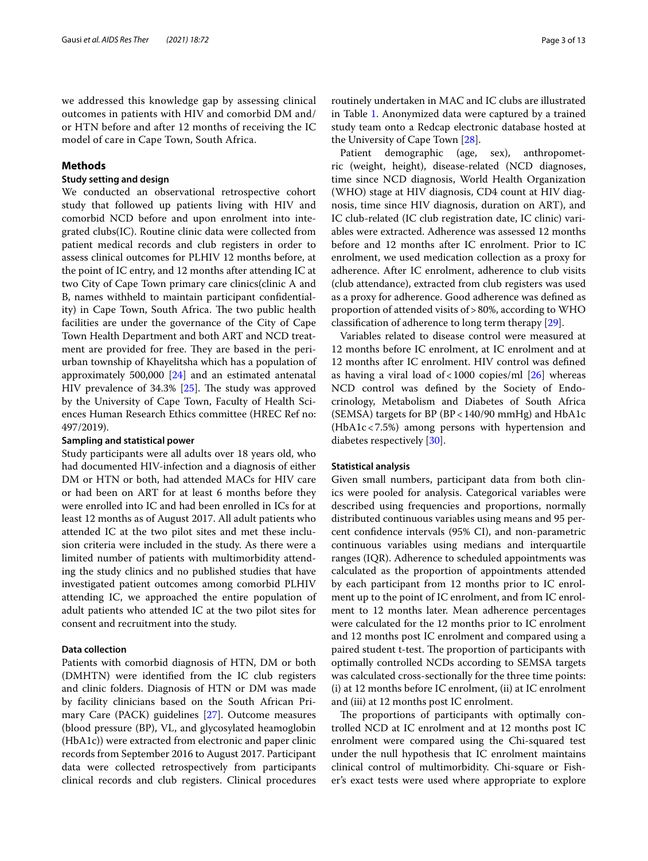we addressed this knowledge gap by assessing clinical outcomes in patients with HIV and comorbid DM and/ or HTN before and after 12 months of receiving the IC model of care in Cape Town, South Africa.

# **Methods**

# **Study setting and design**

We conducted an observational retrospective cohort study that followed up patients living with HIV and comorbid NCD before and upon enrolment into integrated clubs(IC). Routine clinic data were collected from patient medical records and club registers in order to assess clinical outcomes for PLHIV 12 months before, at the point of IC entry, and 12 months after attending IC at two City of Cape Town primary care clinics(clinic A and B, names withheld to maintain participant confdentiality) in Cape Town, South Africa. The two public health facilities are under the governance of the City of Cape Town Health Department and both ART and NCD treatment are provided for free. They are based in the periurban township of Khayelitsha which has a population of approximately 500,000 [\[24](#page-12-6)] and an estimated antenatal HIV prevalence of  $34.3\%$  [ $25$ ]. The study was approved by the University of Cape Town, Faculty of Health Sciences Human Research Ethics committee (HREC Ref no: 497/2019).

## **Sampling and statistical power**

Study participants were all adults over 18 years old, who had documented HIV-infection and a diagnosis of either DM or HTN or both, had attended MACs for HIV care or had been on ART for at least 6 months before they were enrolled into IC and had been enrolled in ICs for at least 12 months as of August 2017. All adult patients who attended IC at the two pilot sites and met these inclusion criteria were included in the study. As there were a limited number of patients with multimorbidity attending the study clinics and no published studies that have investigated patient outcomes among comorbid PLHIV attending IC, we approached the entire population of adult patients who attended IC at the two pilot sites for consent and recruitment into the study.

# **Data collection**

Patients with comorbid diagnosis of HTN, DM or both (DMHTN) were identifed from the IC club registers and clinic folders. Diagnosis of HTN or DM was made by facility clinicians based on the South African Primary Care (PACK) guidelines [\[27\]](#page-12-8). Outcome measures (blood pressure (BP), VL, and glycosylated heamoglobin (HbA1c)) were extracted from electronic and paper clinic records from September 2016 to August 2017. Participant data were collected retrospectively from participants clinical records and club registers. Clinical procedures routinely undertaken in MAC and IC clubs are illustrated in Table [1.](#page-3-0) Anonymized data were captured by a trained study team onto a Redcap electronic database hosted at the University of Cape Town [[28\]](#page-12-9).

Patient demographic (age, sex), anthropometric (weight, height), disease-related (NCD diagnoses, time since NCD diagnosis, World Health Organization (WHO) stage at HIV diagnosis, CD4 count at HIV diagnosis, time since HIV diagnosis, duration on ART), and IC club-related (IC club registration date, IC clinic) variables were extracted. Adherence was assessed 12 months before and 12 months after IC enrolment. Prior to IC enrolment, we used medication collection as a proxy for adherence. After IC enrolment, adherence to club visits (club attendance), extracted from club registers was used as a proxy for adherence. Good adherence was defned as proportion of attended visits of>80%, according to WHO classifcation of adherence to long term therapy [[29](#page-12-10)].

Variables related to disease control were measured at 12 months before IC enrolment, at IC enrolment and at 12 months after IC enrolment. HIV control was defned as having a viral load of < 1000 copies/ml  $[26]$  whereas NCD control was defned by the Society of Endocrinology, Metabolism and Diabetes of South Africa (SEMSA) targets for BP (BP<140/90 mmHg) and HbA1c (HbA1c<7.5%) among persons with hypertension and diabetes respectively [[30](#page-12-12)].

## **Statistical analysis**

Given small numbers, participant data from both clinics were pooled for analysis. Categorical variables were described using frequencies and proportions, normally distributed continuous variables using means and 95 percent confdence intervals (95% CI), and non-parametric continuous variables using medians and interquartile ranges (IQR). Adherence to scheduled appointments was calculated as the proportion of appointments attended by each participant from 12 months prior to IC enrolment up to the point of IC enrolment, and from IC enrolment to 12 months later. Mean adherence percentages were calculated for the 12 months prior to IC enrolment and 12 months post IC enrolment and compared using a paired student t-test. The proportion of participants with optimally controlled NCDs according to SEMSA targets was calculated cross-sectionally for the three time points: (i) at 12 months before IC enrolment, (ii) at IC enrolment and (iii) at 12 months post IC enrolment.

The proportions of participants with optimally controlled NCD at IC enrolment and at 12 months post IC enrolment were compared using the Chi-squared test under the null hypothesis that IC enrolment maintains clinical control of multimorbidity. Chi-square or Fisher's exact tests were used where appropriate to explore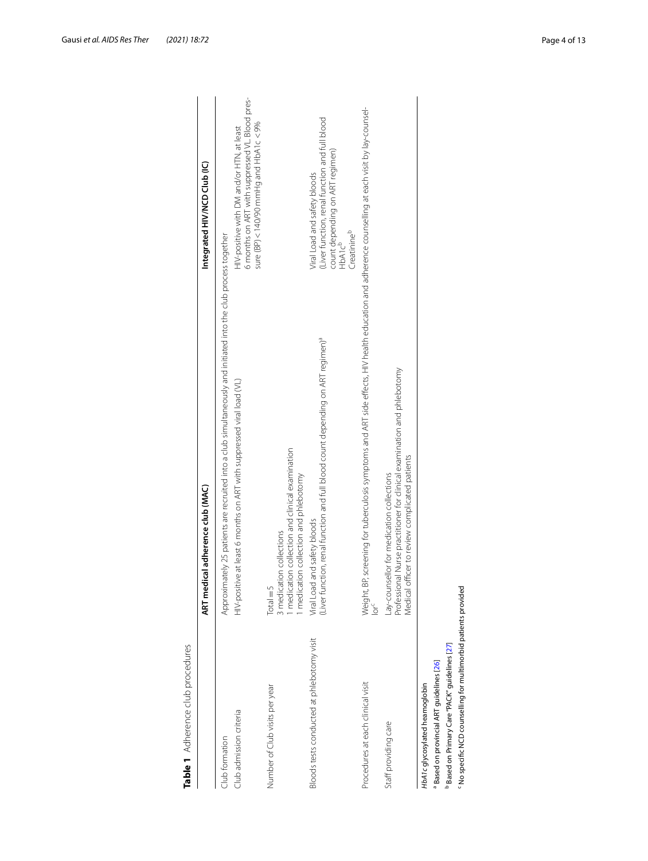<span id="page-3-0"></span>

| Table 1 Adherence club procedures                                                                                                                                                          |                                                                                                                                                                                          |                                                                                                                                                        |
|--------------------------------------------------------------------------------------------------------------------------------------------------------------------------------------------|------------------------------------------------------------------------------------------------------------------------------------------------------------------------------------------|--------------------------------------------------------------------------------------------------------------------------------------------------------|
|                                                                                                                                                                                            | ART medical adherence club (MAC)                                                                                                                                                         | Integrated HIV/NCD Club (IC)                                                                                                                           |
| Club admission criteria<br>Club formation                                                                                                                                                  | Approximately 25 patients are recruited into a club simultaneously and initiated into the club process together<br>HIV-positive at least 6 months on ART with suppressed viral load (VL) | 6 months on ART with suppressed VL. Blood pres-<br>sure (BP) < 140/90 mmHg and HbA1 c $\lt$ 9%<br>HIV-positive with DM and/or HTN, at least            |
| Number of Club visits per year                                                                                                                                                             | medication collection and clinical examination<br>medication collection and phlebotomy<br>3 medication collections<br>$Total = 5$                                                        |                                                                                                                                                        |
| Bloods tests conducted at phlebotomy visit                                                                                                                                                 | (Liver function, renal function and full blood count depending on ART regimen) <sup>a</sup><br>Viral Load and safety bloods                                                              | (Liver function, renal function and full blood<br>count depending on ART regimen)<br>HbA1c <sup>b</sup><br>Viral Load and safety bloods<br>Creatinineb |
| Procedures at each clinical visit                                                                                                                                                          | Weight, BP, screening for tuberculosis symptoms and ART side effects, HIV health education and adherence counselling at each visit by lay-counsel-<br>lor <sup>c</sup>                   |                                                                                                                                                        |
| Staff providing care                                                                                                                                                                       | Professional Nurse practitioner for clinical examination and phlebotomy<br>Medical officer to review complicated patients<br>Lay-counsellor for medication collections                   |                                                                                                                                                        |
| Mo specific NCD counselling for multimorbid patients provided<br>Based on Primary Care "PACK" guidelines [27]<br>Based on provincial ART guidelines [26]<br>HbA1c glycosylated heamoglobin |                                                                                                                                                                                          |                                                                                                                                                        |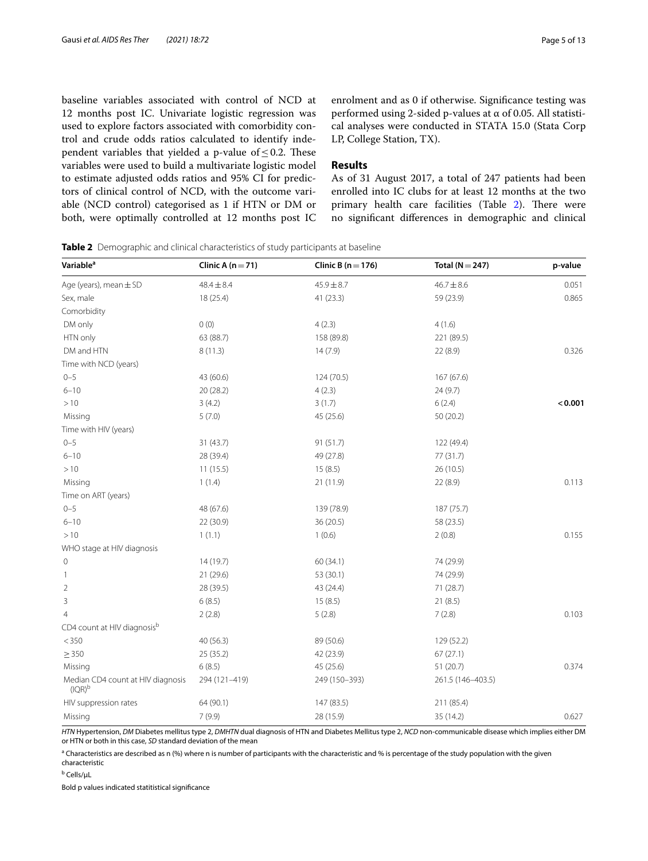baseline variables associated with control of NCD at 12 months post IC. Univariate logistic regression was used to explore factors associated with comorbidity control and crude odds ratios calculated to identify independent variables that yielded a p-value of  $\leq$  0.2. These variables were used to build a multivariate logistic model to estimate adjusted odds ratios and 95% CI for predictors of clinical control of NCD, with the outcome variable (NCD control) categorised as 1 if HTN or DM or both, were optimally controlled at 12 months post IC enrolment and as 0 if otherwise. Signifcance testing was performed using 2-sided p-values at  $\alpha$  of 0.05. All statistical analyses were conducted in STATA 15.0 (Stata Corp LP, College Station, TX).

# **Results**

As of 31 August 2017, a total of 247 patients had been enrolled into IC clubs for at least 12 months at the two primary health care facilities (Table [2](#page-4-0)). There were no signifcant diferences in demographic and clinical

<span id="page-4-0"></span>**Table 2** Demographic and clinical characteristics of study participants at baseline

| Variable <sup>a</sup>                          | Clinic A $(n=71)$ | Clinic B ( $n = 176$ ) | Total ( $N = 247$ ) | p-value |
|------------------------------------------------|-------------------|------------------------|---------------------|---------|
| Age (years), mean $\pm$ SD                     | $48.4 \pm 8.4$    | $45.9 \pm 8.7$         | $46.7 \pm 8.6$      | 0.051   |
| Sex, male                                      | 18 (25.4)         | 41 (23.3)              | 59 (23.9)           | 0.865   |
| Comorbidity                                    |                   |                        |                     |         |
| DM only                                        | 0(0)              | 4(2.3)                 | 4(1.6)              |         |
| HTN only                                       | 63 (88.7)         | 158 (89.8)             | 221 (89.5)          |         |
| DM and HTN                                     | 8(11.3)           | 14(7.9)                | 22(8.9)             | 0.326   |
| Time with NCD (years)                          |                   |                        |                     |         |
| $0 - 5$                                        | 43 (60.6)         | 124 (70.5)             | 167 (67.6)          |         |
| $6 - 10$                                       | 20 (28.2)         | 4(2.3)                 | 24(9.7)             |         |
| >10                                            | 3(4.2)            | 3(1.7)                 | 6(2.4)              | < 0.001 |
| Missing                                        | 5(7.0)            | 45 (25.6)              | 50(20.2)            |         |
| Time with HIV (years)                          |                   |                        |                     |         |
| $0 - 5$                                        | 31 (43.7)         | 91 (51.7)              | 122 (49.4)          |         |
| $6 - 10$                                       | 28 (39.4)         | 49 (27.8)              | 77 (31.7)           |         |
| >10                                            | 11(15.5)          | 15(8.5)                | 26 (10.5)           |         |
| Missing                                        | 1(1.4)            | 21 (11.9)              | 22 (8.9)            | 0.113   |
| Time on ART (years)                            |                   |                        |                     |         |
| $0 - 5$                                        | 48 (67.6)         | 139 (78.9)             | 187 (75.7)          |         |
| $6 - 10$                                       | 22 (30.9)         | 36 (20.5)              | 58 (23.5)           |         |
| >10                                            | 1(1.1)            | 1(0.6)                 | 2(0.8)              | 0.155   |
| WHO stage at HIV diagnosis                     |                   |                        |                     |         |
| $\mathbf 0$                                    | 14 (19.7)         | 60(34.1)               | 74 (29.9)           |         |
| $\overline{1}$                                 | 21 (29.6)         | 53 (30.1)              | 74 (29.9)           |         |
| $\overline{2}$                                 | 28 (39.5)         | 43 (24.4)              | 71 (28.7)           |         |
| $\mathbf{3}$                                   | 6(8.5)            | 15(8.5)                | 21(8.5)             |         |
| $\overline{4}$                                 | 2(2.8)            | 5(2.8)                 | 7(2.8)              | 0.103   |
| CD4 count at HIV diagnosisb                    |                   |                        |                     |         |
| < 350                                          | 40 (56.3)         | 89 (50.6)              | 129 (52.2)          |         |
| $\geq$ 350                                     | 25(35.2)          | 42 (23.9)              | 67(27.1)            |         |
| Missing                                        | 6(8.5)            | 45 (25.6)              | 51 (20.7)           | 0.374   |
| Median CD4 count at HIV diagnosis<br>$(IQR)^b$ | 294 (121-419)     | 249 (150-393)          | 261.5 (146-403.5)   |         |
| HIV suppression rates                          | 64 (90.1)         | 147 (83.5)             | 211 (85.4)          |         |
| Missing                                        | 7(9.9)            | 28 (15.9)              | 35 (14.2)           | 0.627   |

*HTN* Hypertension, *DM* Diabetes mellitus type 2, *DMHTN* dual diagnosis of HTN and Diabetes Mellitus type 2, *NCD* non-communicable disease which implies either DM or HTN or both in this case, *SD* standard deviation of the mean

<sup>a</sup> Characteristics are described as n (%) where n is number of participants with the characteristic and % is percentage of the study population with the given characteristic

<sup>b</sup> Cells/µL

Bold p values indicated statitistical signifcance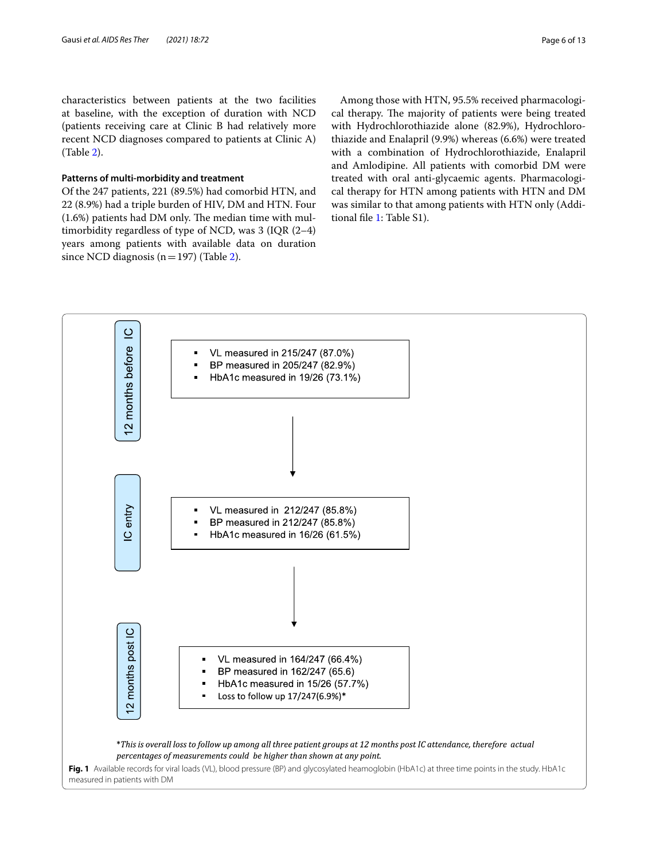characteristics between patients at the two facilities at baseline, with the exception of duration with NCD (patients receiving care at Clinic B had relatively more recent NCD diagnoses compared to patients at Clinic A) (Table [2](#page-4-0)).

# **Patterns of multi-morbidity and treatment**

Of the 247 patients, 221 (89.5%) had comorbid HTN, and 22 (8.9%) had a triple burden of HIV, DM and HTN. Four  $(1.6%)$  patients had DM only. The median time with multimorbidity regardless of type of NCD, was 3 (IQR (2–4) years among patients with available data on duration since NCD diagnosis ( $n=197$ ) (Table [2](#page-4-0)).

Among those with HTN, 95.5% received pharmacological therapy. The majority of patients were being treated with Hydrochlorothiazide alone (82.9%), Hydrochlorothiazide and Enalapril (9.9%) whereas (6.6%) were treated with a combination of Hydrochlorothiazide, Enalapril and Amlodipine. All patients with comorbid DM were treated with oral anti-glycaemic agents. Pharmacological therapy for HTN among patients with HTN and DM was similar to that among patients with HTN only (Additional fle [1](#page-11-16): Table S1).

<span id="page-5-0"></span>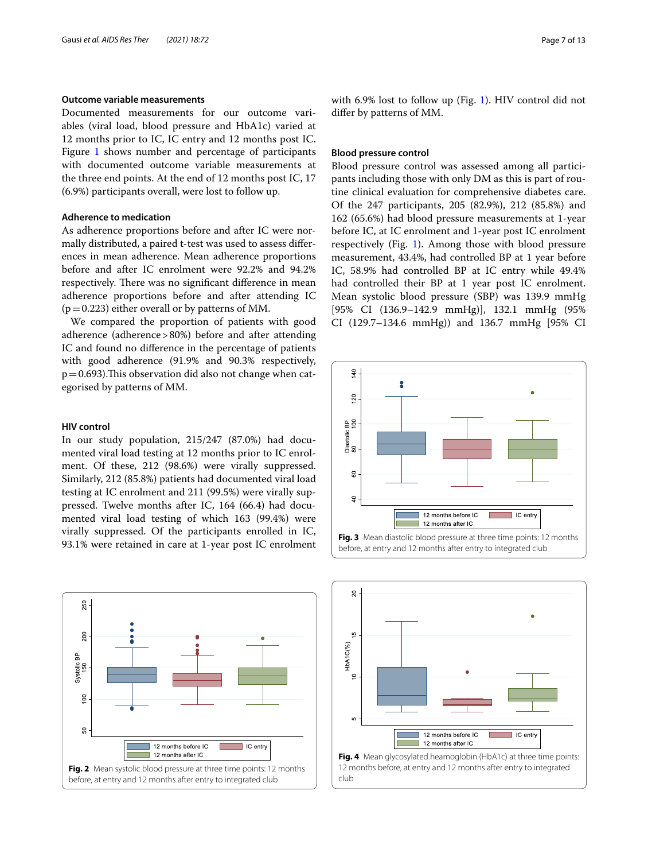# **Outcome variable measurements**

Documented measurements for our outcome variables (viral load, blood pressure and HbA1c) varied at 12 months prior to IC, IC entry and 12 months post IC. Figure [1](#page-5-0) shows number and percentage of participants with documented outcome variable measurements at the three end points. At the end of 12 months post IC, 17 (6.9%) participants overall, were lost to follow up.

# **Adherence to medication**

As adherence proportions before and after IC were normally distributed, a paired t-test was used to assess diferences in mean adherence. Mean adherence proportions before and after IC enrolment were 92.2% and 94.2% respectively. There was no significant difference in mean adherence proportions before and after attending IC  $(p=0.223)$  either overall or by patterns of MM.

We compared the proportion of patients with good adherence (adherence>80%) before and after attending IC and found no diference in the percentage of patients with good adherence (91.9% and 90.3% respectively,  $p=0.693$ ). This observation did also not change when categorised by patterns of MM.

## **HIV control**

In our study population, 215/247 (87.0%) had documented viral load testing at 12 months prior to IC enrolment. Of these, 212 (98.6%) were virally suppressed. Similarly, 212 (85.8%) patients had documented viral load testing at IC enrolment and 211 (99.5%) were virally suppressed. Twelve months after IC, 164 (66.4) had documented viral load testing of which 163 (99.4%) were virally suppressed. Of the participants enrolled in IC, 93.1% were retained in care at 1-year post IC enrolment

<span id="page-6-0"></span>

with 6.9% lost to follow up (Fig. [1](#page-5-0)). HIV control did not difer by patterns of MM.

### **Blood pressure control**

Blood pressure control was assessed among all participants including those with only DM as this is part of routine clinical evaluation for comprehensive diabetes care. Of the 247 participants, 205 (82.9%), 212 (85.8%) and 162 (65.6%) had blood pressure measurements at 1-year before IC, at IC enrolment and 1-year post IC enrolment respectively (Fig. [1](#page-5-0)). Among those with blood pressure measurement, 43.4%, had controlled BP at 1 year before IC, 58.9% had controlled BP at IC entry while 49.4% had controlled their BP at 1 year post IC enrolment. Mean systolic blood pressure (SBP) was 139.9 mmHg [95% CI (136.9–142.9 mmHg)], 132.1 mmHg (95% CI (129.7–134.6 mmHg)) and 136.7 mmHg [95% CI



<span id="page-6-1"></span>

<span id="page-6-2"></span>club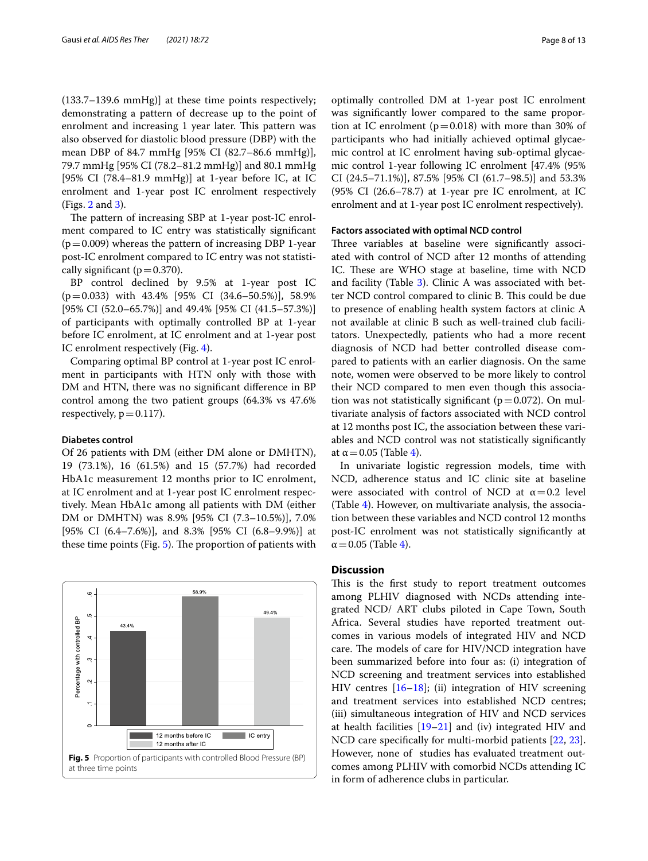(133.7–139.6 mmHg)] at these time points respectively; demonstrating a pattern of decrease up to the point of enrolment and increasing 1 year later. This pattern was also observed for diastolic blood pressure (DBP) with the mean DBP of 84.7 mmHg [95% CI (82.7–86.6 mmHg)], 79.7 mmHg [95% CI (78.2–81.2 mmHg)] and 80.1 mmHg [95% CI (78.4–81.9 mmHg)] at 1-year before IC, at IC enrolment and 1-year post IC enrolment respectively (Figs. [2](#page-6-0) and [3\)](#page-6-1).

The pattern of increasing SBP at 1-year post-IC enrolment compared to IC entry was statistically signifcant  $(p=0.009)$  whereas the pattern of increasing DBP 1-year post-IC enrolment compared to IC entry was not statistically significant ( $p=0.370$ ).

BP control declined by 9.5% at 1-year post IC (p=0.033) with 43.4% [95% CI (34.6–50.5%)], 58.9% [95% CI (52.0–65.7%)] and 49.4% [95% CI (41.5–57.3%)] of participants with optimally controlled BP at 1-year before IC enrolment, at IC enrolment and at 1-year post IC enrolment respectively (Fig. [4\)](#page-6-2).

Comparing optimal BP control at 1-year post IC enrolment in participants with HTN only with those with DM and HTN, there was no signifcant diference in BP control among the two patient groups (64.3% vs 47.6% respectively,  $p=0.117$ ).

## **Diabetes control**

Of 26 patients with DM (either DM alone or DMHTN), 19 (73.1%), 16 (61.5%) and 15 (57.7%) had recorded HbA1c measurement 12 months prior to IC enrolment, at IC enrolment and at 1-year post IC enrolment respectively. Mean HbA1c among all patients with DM (either DM or DMHTN) was 8.9% [95% CI (7.3–10.5%)], 7.0% [95% CI (6.4–7.6%)], and 8.3% [95% CI (6.8–9.9%)] at these time points (Fig.  $5$ ). The proportion of patients with

<span id="page-7-0"></span>

optimally controlled DM at 1-year post IC enrolment was signifcantly lower compared to the same proportion at IC enrolment ( $p=0.018$ ) with more than 30% of participants who had initially achieved optimal glycaemic control at IC enrolment having sub-optimal glycaemic control 1-year following IC enrolment [47.4% (95% CI (24.5–71.1%)], 87.5% [95% CI (61.7–98.5)] and 53.3% (95% CI (26.6–78.7) at 1-year pre IC enrolment, at IC enrolment and at 1-year post IC enrolment respectively).

### **Factors associated with optimal NCD control**

Three variables at baseline were significantly associated with control of NCD after 12 months of attending IC. These are WHO stage at baseline, time with NCD and facility (Table [3](#page-8-0)). Clinic A was associated with better NCD control compared to clinic B. This could be due to presence of enabling health system factors at clinic A not available at clinic B such as well-trained club facilitators. Unexpectedly, patients who had a more recent diagnosis of NCD had better controlled disease compared to patients with an earlier diagnosis. On the same note, women were observed to be more likely to control their NCD compared to men even though this association was not statistically significant ( $p=0.072$ ). On multivariate analysis of factors associated with NCD control at 12 months post IC, the association between these variables and NCD control was not statistically signifcantly at  $\alpha$  = 0.05 (Table [4](#page-9-0)).

In univariate logistic regression models, time with NCD, adherence status and IC clinic site at baseline were associated with control of NCD at  $\alpha = 0.2$  level (Table [4\)](#page-9-0). However, on multivariate analysis, the association between these variables and NCD control 12 months post-IC enrolment was not statistically signifcantly at  $\alpha$  = 0.05 (Table [4](#page-9-0)).

# **Discussion**

This is the first study to report treatment outcomes among PLHIV diagnosed with NCDs attending integrated NCD/ ART clubs piloted in Cape Town, South Africa. Several studies have reported treatment outcomes in various models of integrated HIV and NCD care. The models of care for HIV/NCD integration have been summarized before into four as: (i) integration of NCD screening and treatment services into established HIV centres [[16–](#page-11-15)[18](#page-12-1)]; (ii) integration of HIV screening and treatment services into established NCD centres; (iii) simultaneous integration of HIV and NCD services at health facilities  $[19-21]$  $[19-21]$  $[19-21]$  and (iv) integrated HIV and NCD care specifcally for multi-morbid patients [\[22](#page-12-4), [23](#page-12-5)]. However, none of studies has evaluated treatment outcomes among PLHIV with comorbid NCDs attending IC in form of adherence clubs in particular.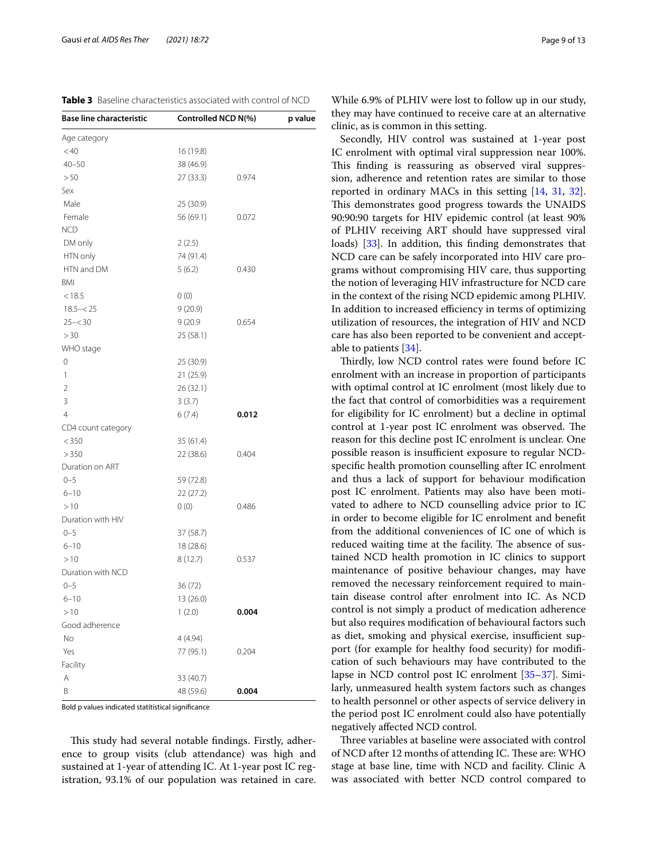| Age category       |           |       |
|--------------------|-----------|-------|
| < 40               | 16 (19.8) |       |
| $40 - 50$          | 38 (46.9) |       |
| > 50               | 27(33.3)  | 0.974 |
| Sex                |           |       |
| Male               | 25 (30.9) |       |
| Female             | 56 (69.1) | 0.072 |
| <b>NCD</b>         |           |       |
| DM only            | 2(2.5)    |       |
| HTN only           | 74 (91.4) |       |
| HTN and DM         | 5(6.2)    | 0.430 |
| BMI                |           |       |
| < 18.5             | 0(0)      |       |
| $18.5 - < 25$      | 9(20.9)   |       |
| $25 - 30$          | 9 (20.9   | 0.654 |
| >30                | 25 (58.1) |       |
| WHO stage          |           |       |
| 0                  | 25 (30.9) |       |
| 1                  | 21 (25.9) |       |
| $\overline{2}$     | 26 (32.1) |       |
|                    |           |       |
| 3                  | 3(3.7)    |       |
| $\overline{4}$     | 6(7.4)    | 0.012 |
| CD4 count category |           |       |
| < 350              | 35 (61.4) |       |
| >350               | 22 (38.6) | 0.404 |
| Duration on ART    |           |       |
| $0 - 5$            | 59 (72.8) |       |
| $6 - 10$           | 22(27.2)  |       |
| >10                | 0(0)      | 0.486 |
| Duration with HIV  |           |       |
| $0 - 5$            | 37 (58.7) |       |
| $6 - 10$           | 18 (28.6) |       |
| >10                | 8 (12.7)  | 0.537 |
| Duration with NCD  |           |       |
| $0 - 5$            | 36(72)    |       |
| $6 - 10$           | 13(26.0)  |       |
| >10                | 1(2.0)    | 0.004 |
| Good adherence     |           |       |

This study had several notable findings. Firstly, adherence to group visits (club attendance) was high and sustained at 1-year of attending IC. At 1-year post IC registration, 93.1% of our population was retained in care.

Bold p values indicated statitistical signifcance

A 33 (40.7)

**Facility** 

Yes 77 (95.1) 0.204

B 48 (59.6) **0.004**

<span id="page-8-0"></span>**Table 3** Baseline characteristics associated with control of NCD **Base line characteristic Controlled NCD N(%) p value**

While 6.9% of PLHIV were lost to follow up in our study, they may have continued to receive care at an alternative clinic, as is common in this setting.

Secondly, HIV control was sustained at 1-year post IC enrolment with optimal viral suppression near 100%. This finding is reassuring as observed viral suppression, adherence and retention rates are similar to those reported in ordinary MACs in this setting [\[14](#page-11-13), [31](#page-12-13), [32](#page-12-14)]. This demonstrates good progress towards the UNAIDS 90:90:90 targets for HIV epidemic control (at least 90% of PLHIV receiving ART should have suppressed viral loads) [[33\]](#page-12-15). In addition, this finding demonstrates that NCD care can be safely incorporated into HIV care programs without compromising HIV care, thus supporting the notion of leveraging HIV infrastructure for NCD care in the context of the rising NCD epidemic among PLHIV. In addition to increased efficiency in terms of optimizing utilization of resources, the integration of HIV and NCD care has also been reported to be convenient and acceptable to patients [\[34](#page-12-16)].

Thirdly, low NCD control rates were found before IC enrolment with an increase in proportion of participants with optimal control at IC enrolment (most likely due to the fact that control of comorbidities was a requirement for eligibility for IC enrolment) but a decline in optimal control at 1-year post IC enrolment was observed. The reason for this decline post IC enrolment is unclear. One possible reason is insufficient exposure to regular NCDspecifc health promotion counselling after IC enrolment and thus a lack of support for behaviour modifcation post IC enrolment. Patients may also have been motivated to adhere to NCD counselling advice prior to IC in order to become eligible for IC enrolment and beneft from the additional conveniences of IC one of which is reduced waiting time at the facility. The absence of sustained NCD health promotion in IC clinics to support maintenance of positive behaviour changes, may have removed the necessary reinforcement required to maintain disease control after enrolment into IC. As NCD control is not simply a product of medication adherence but also requires modifcation of behavioural factors such as diet, smoking and physical exercise, insufficient support (for example for healthy food security) for modifcation of such behaviours may have contributed to the lapse in NCD control post IC enrolment [\[35–](#page-12-17)[37\]](#page-12-18). Similarly, unmeasured health system factors such as changes to health personnel or other aspects of service delivery in the period post IC enrolment could also have potentially negatively afected NCD control.

Three variables at baseline were associated with control of NCD after 12 months of attending IC. These are: WHO stage at base line, time with NCD and facility. Clinic A was associated with better NCD control compared to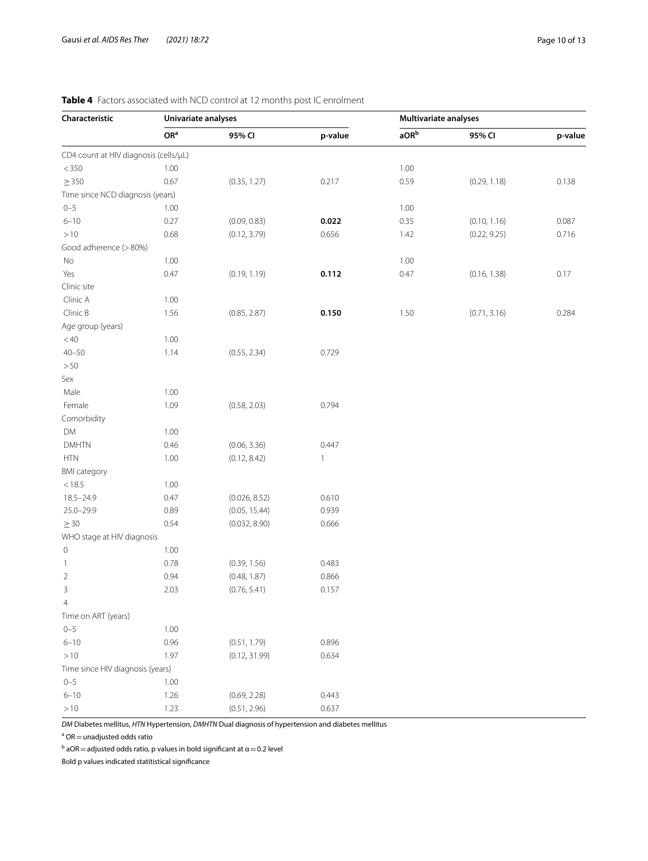| Characteristic                        | Univariate analyses |               |              | <b>Multivariate analyses</b> |              |         |  |
|---------------------------------------|---------------------|---------------|--------------|------------------------------|--------------|---------|--|
|                                       | OR <sup>a</sup>     | 95% CI        | p-value      | aOR <sup>b</sup>             | 95% CI       | p-value |  |
| CD4 count at HIV diagnosis (cells/µL) |                     |               |              |                              |              |         |  |
| < 350                                 | 1.00                |               |              | 1.00                         |              |         |  |
| $\geq$ 350                            | 0.67                | (0.35, 1.27)  | 0.217        | 0.59                         | (0.29, 1.18) | 0.138   |  |
| Time since NCD diagnosis (years)      |                     |               |              |                              |              |         |  |
| $0 - 5$                               | 1.00                |               |              | 1.00                         |              |         |  |
| $6 - 10$                              | 0.27                | (0.09, 0.83)  | 0.022        | 0.35                         | (0.10, 1.16) | 0.087   |  |
| >10                                   | 0.68                | (0.12, 3.79)  | 0.656        | 1.42                         | (0.22, 9.25) | 0.716   |  |
| Good adherence (>80%)                 |                     |               |              |                              |              |         |  |
| No                                    | 1.00                |               |              | 1.00                         |              |         |  |
| Yes                                   | 0.47                | (0.19, 1.19)  | 0.112        | 0.47                         | (0.16, 1.38) | 0.17    |  |
| Clinic site                           |                     |               |              |                              |              |         |  |
| Clinic A                              | 1.00                |               |              |                              |              |         |  |
| Clinic B                              | 1.56                | (0.85, 2.87)  | 0.150        | 1.50                         | (0.71, 3.16) | 0.284   |  |
| Age group (years)                     |                     |               |              |                              |              |         |  |
| < 40                                  | 1.00                |               |              |                              |              |         |  |
| $40 - 50$                             | 1.14                | (0.55, 2.34)  | 0.729        |                              |              |         |  |
| $>50$                                 |                     |               |              |                              |              |         |  |
| Sex                                   |                     |               |              |                              |              |         |  |
| Male                                  | 1.00                |               |              |                              |              |         |  |
| Female                                | 1.09                | (0.58, 2.03)  | 0.794        |                              |              |         |  |
| Comorbidity                           |                     |               |              |                              |              |         |  |
| DM                                    | 1.00                |               |              |                              |              |         |  |
| <b>DMHTN</b>                          | 0.46                | (0.06, 3.36)  | 0.447        |                              |              |         |  |
| <b>HTN</b>                            | 1.00                | (0.12, 8.42)  | $\mathbf{1}$ |                              |              |         |  |
| <b>BMI</b> category                   |                     |               |              |                              |              |         |  |
| < 18.5                                | 1.00                |               |              |                              |              |         |  |
| 18.5-24.9                             | 0.47                | (0.026, 8.52) | 0.610        |                              |              |         |  |
| $25.0 - 29.9$                         | 0.89                | (0.05, 15.44) | 0.939        |                              |              |         |  |
| $\geq$ 30                             | 0.54                | (0.032, 8.90) | 0.666        |                              |              |         |  |
| WHO stage at HIV diagnosis            |                     |               |              |                              |              |         |  |
| $\,0\,$                               | 1.00                |               |              |                              |              |         |  |
| 1                                     | 0.78                | (0.39, 1.56)  | 0.483        |                              |              |         |  |
| $\overline{2}$                        | 0.94                | (0.48, 1.87)  | 0.866        |                              |              |         |  |
| 3                                     | 2.03                | (0.76, 5.41)  | 0.157        |                              |              |         |  |
| $\overline{4}$                        |                     |               |              |                              |              |         |  |
| Time on ART (years)                   |                     |               |              |                              |              |         |  |
| $0 - 5$                               | 1.00                |               |              |                              |              |         |  |
| $6 - 10$                              | 0.96                | (0.51, 1.79)  | 0.896        |                              |              |         |  |
| $>10$                                 | 1.97                | (0.12, 31.99) | 0.634        |                              |              |         |  |
| Time since HIV diagnosis (years)      |                     |               |              |                              |              |         |  |
| $0 - 5$                               | 1.00                |               |              |                              |              |         |  |
| $6 - 10$                              | 1.26                | (0.69, 2.28)  | 0.443        |                              |              |         |  |
| $>10$                                 | 1.23                | (0.51, 2.96)  | 0.637        |                              |              |         |  |

# <span id="page-9-0"></span>**Table 4** Factors associated with NCD control at 12 months post IC enrolment

*DM* Diabetes mellitus, *HTN* Hypertension, *DMHTN* Dual diagnosis of hypertension and diabetes mellitus

 $a$  OR  $=$  unadjusted odds ratio

<sup>b</sup> aOR  $=$  adjusted odds ratio, p values in bold significant at  $\alpha$   $=$  0.2 level

Bold p values indicated statitistical signifcance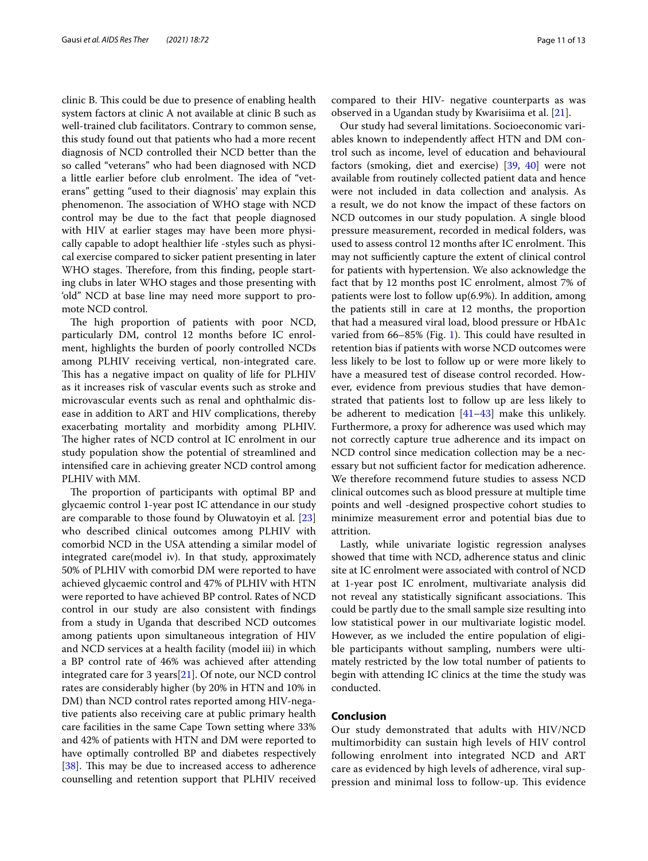clinic B. This could be due to presence of enabling health system factors at clinic A not available at clinic B such as well-trained club facilitators. Contrary to common sense, this study found out that patients who had a more recent diagnosis of NCD controlled their NCD better than the so called "veterans" who had been diagnosed with NCD a little earlier before club enrolment. The idea of "veterans" getting "used to their diagnosis' may explain this phenomenon. The association of WHO stage with NCD control may be due to the fact that people diagnosed with HIV at earlier stages may have been more physically capable to adopt healthier life -styles such as physical exercise compared to sicker patient presenting in later WHO stages. Therefore, from this finding, people starting clubs in later WHO stages and those presenting with 'old" NCD at base line may need more support to promote NCD control.

The high proportion of patients with poor NCD, particularly DM, control 12 months before IC enrolment, highlights the burden of poorly controlled NCDs among PLHIV receiving vertical, non-integrated care. This has a negative impact on quality of life for PLHIV as it increases risk of vascular events such as stroke and microvascular events such as renal and ophthalmic disease in addition to ART and HIV complications, thereby exacerbating mortality and morbidity among PLHIV. The higher rates of NCD control at IC enrolment in our study population show the potential of streamlined and intensifed care in achieving greater NCD control among PLHIV with MM.

The proportion of participants with optimal BP and glycaemic control 1-year post IC attendance in our study are comparable to those found by Oluwatoyin et al. [[23](#page-12-5)] who described clinical outcomes among PLHIV with comorbid NCD in the USA attending a similar model of integrated care(model iv). In that study, approximately 50% of PLHIV with comorbid DM were reported to have achieved glycaemic control and 47% of PLHIV with HTN were reported to have achieved BP control. Rates of NCD control in our study are also consistent with fndings from a study in Uganda that described NCD outcomes among patients upon simultaneous integration of HIV and NCD services at a health facility (model iii) in which a BP control rate of 46% was achieved after attending integrated care for 3 years[\[21](#page-12-3)]. Of note, our NCD control rates are considerably higher (by 20% in HTN and 10% in DM) than NCD control rates reported among HIV-negative patients also receiving care at public primary health care facilities in the same Cape Town setting where 33% and 42% of patients with HTN and DM were reported to have optimally controlled BP and diabetes respectively [[38\]](#page-12-19). This may be due to increased access to adherence counselling and retention support that PLHIV received compared to their HIV- negative counterparts as was observed in a Ugandan study by Kwarisiima et al. [[21\]](#page-12-3).

Our study had several limitations. Socioeconomic variables known to independently afect HTN and DM control such as income, level of education and behavioural factors (smoking, diet and exercise) [\[39](#page-12-20), [40\]](#page-12-21) were not available from routinely collected patient data and hence were not included in data collection and analysis. As a result, we do not know the impact of these factors on NCD outcomes in our study population. A single blood pressure measurement, recorded in medical folders, was used to assess control 12 months after IC enrolment. This may not sufficiently capture the extent of clinical control for patients with hypertension. We also acknowledge the fact that by 12 months post IC enrolment, almost 7% of patients were lost to follow up(6.9%). In addition, among the patients still in care at 12 months, the proportion that had a measured viral load, blood pressure or HbA1c varied from  $66-85%$  (Fig. [1\)](#page-5-0). This could have resulted in retention bias if patients with worse NCD outcomes were less likely to be lost to follow up or were more likely to have a measured test of disease control recorded. However, evidence from previous studies that have demonstrated that patients lost to follow up are less likely to be adherent to medication [[41–](#page-12-22)[43](#page-12-23)] make this unlikely. Furthermore, a proxy for adherence was used which may not correctly capture true adherence and its impact on NCD control since medication collection may be a necessary but not sufficient factor for medication adherence. We therefore recommend future studies to assess NCD clinical outcomes such as blood pressure at multiple time points and well -designed prospective cohort studies to minimize measurement error and potential bias due to attrition.

Lastly, while univariate logistic regression analyses showed that time with NCD, adherence status and clinic site at IC enrolment were associated with control of NCD at 1-year post IC enrolment, multivariate analysis did not reveal any statistically significant associations. This could be partly due to the small sample size resulting into low statistical power in our multivariate logistic model. However, as we included the entire population of eligible participants without sampling, numbers were ultimately restricted by the low total number of patients to begin with attending IC clinics at the time the study was conducted.

## **Conclusion**

Our study demonstrated that adults with HIV/NCD multimorbidity can sustain high levels of HIV control following enrolment into integrated NCD and ART care as evidenced by high levels of adherence, viral suppression and minimal loss to follow-up. This evidence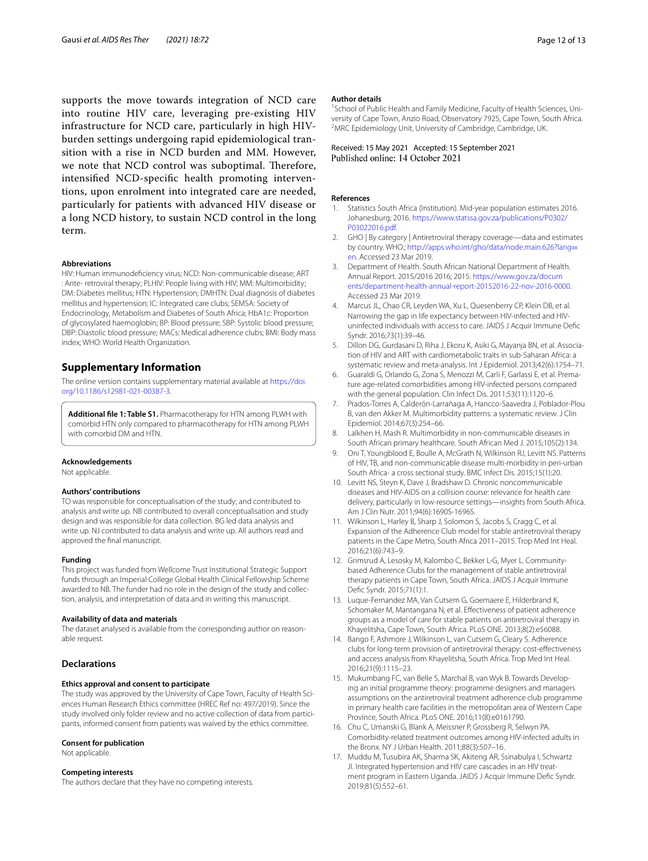supports the move towards integration of NCD care into routine HIV care, leveraging pre-existing HIV infrastructure for NCD care, particularly in high HIVburden settings undergoing rapid epidemiological transition with a rise in NCD burden and MM. However, we note that NCD control was suboptimal. Therefore, intensifed NCD-specifc health promoting interventions, upon enrolment into integrated care are needed, particularly for patients with advanced HIV disease or a long NCD history, to sustain NCD control in the long term.

#### **Abbreviations**

HIV: Human immunodefciency virus; NCD: Non-communicable disease; ART : Ante- retroviral therapy; PLHIV: People living with HIV; MM: Multimorbidity; DM: Diabetes mellitus; HTN: Hypertension; DMHTN: Dual diagnosis of diabetes mellitus and hypertension; IC: Integrated care clubs; SEMSA: Society of Endocrinology, Metabolism and Diabetes of South Africa; HbA1c: Proportion of glycosylated haemoglobin; BP: Blood pressure; SBP: Systolic blood pressure; DBP: Diastolic blood pressure; MACs: Medical adherence clubs; BMI: Body mass index; WHO: World Health Organization.

# **Supplementary Information**

The online version contains supplementary material available at [https://doi.](https://doi.org/10.1186/s12981-021-00387-3) [org/10.1186/s12981-021-00387-3](https://doi.org/10.1186/s12981-021-00387-3).

<span id="page-11-16"></span>**Additional fle 1: Table S1.** Pharmacotherapy for HTN among PLWH with comorbid HTN only compared to pharmacotherapy for HTN among PLWH with comorbid DM and HTN.

#### **Acknowledgements**

Not applicable.

### **Authors' contributions**

TO was responsible for conceptualisation of the study; and contributed to analysis and write up. NB contributed to overall conceptualisation and study design and was responsible for data collection. BG led data analysis and write up. NJ contributed to data analysis and write up. All authors read and approved the fnal manuscript.

#### **Funding**

This project was funded from Wellcome Trust Institutional Strategic Support funds through an Imperial College Global Health Clinical Fellowship Scheme awarded to NB. The funder had no role in the design of the study and collection, analysis, and interpretation of data and in writing this manuscript.

#### **Availability of data and materials**

The dataset analysed is available from the corresponding author on reasonable request.

## **Declarations**

#### **Ethics approval and consent to participate**

The study was approved by the University of Cape Town, Faculty of Health Sciences Human Research Ethics committee (HREC Ref no: 497/2019). Since the study involved only folder review and no active collection of data from participants, informed consent from patients was waived by the ethics committee.

#### **Consent for publication**

Not applicable.

#### **Competing interests**

The authors declare that they have no competing interests.

#### **Author details**

<sup>1</sup> School of Public Health and Family Medicine, Faculty of Health Sciences, University of Cape Town, Anzio Road, Observatory 7925, Cape Town, South Africa. 2 <sup>2</sup>MRC Epidemiology Unit, University of Cambridge, Cambridge, UK.

#### Received: 15 May 2021 Accepted: 15 September 2021 Published online: 14 October 2021

#### **References**

- <span id="page-11-0"></span>1. Statistics South Africa (Institution). Mid-year population estimates 2016. Johanesburg; 2016. [https://www.statssa.gov.za/publications/P0302/](https://www.statssa.gov.za/publications/P0302/P03022016.pdf) [P03022016.pdf](https://www.statssa.gov.za/publications/P0302/P03022016.pdf).
- <span id="page-11-1"></span>2. GHO | By category | Antiretroviral therapy coverage—data and estimates by country. WHO.; [http://apps.who.int/gho/data/node.main.626?lang](http://apps.who.int/gho/data/node.main.626?lang=en)= [en](http://apps.who.int/gho/data/node.main.626?lang=en). Accessed 23 Mar 2019.
- <span id="page-11-2"></span>3. Department of Health. South African National Department of Health. Annual Report. 2015/2016 2016; 2015. [https://www.gov.za/docum](https://www.gov.za/documents/department-health-annual-report-20152016-22-nov-2016-0000) [ents/department-health-annual-report-20152016-22-nov-2016-0000](https://www.gov.za/documents/department-health-annual-report-20152016-22-nov-2016-0000). Accessed 23 Mar 2019.
- <span id="page-11-3"></span>4. Marcus JL, Chao CR, Leyden WA, Xu L, Quesenberry CP, Klein DB, et al. Narrowing the gap in life expectancy between HIV-infected and HIVuninfected individuals with access to care. JAIDS J Acquir Immune Defc Syndr. 2016;73(1):39–46.
- <span id="page-11-4"></span>5. Dillon DG, Gurdasani D, Riha J, Ekoru K, Asiki G, Mayanja BN, et al. Association of HIV and ART with cardiometabolic traits in sub-Saharan Africa: a systematic review and meta-analysis. Int J Epidemiol. 2013;42(6):1754–71.
- <span id="page-11-5"></span>6. Guaraldi G, Orlando G, Zona S, Menozzi M, Carli F, Garlassi E, et al. Premature age-related comorbidities among HIV-infected persons compared with the general population. Clin Infect Dis. 2011;53(11):1120–6.
- <span id="page-11-6"></span>7. Prados-Torres A, Calderón-Larrañaga A, Hancco-Saavedra J, Poblador-Plou B, van den Akker M. Multimorbidity patterns: a systematic review. J Clin Epidemiol. 2014;67(3):254–66.
- <span id="page-11-7"></span>8. Lalkhen H, Mash R. Multimorbidity in non-communicable diseases in South African primary healthcare. South African Med J. 2015;105(2):134.
- <span id="page-11-8"></span>9. Oni T, Youngblood E, Boulle A, McGrath N, Wilkinson RJ, Levitt NS. Patterns of HIV, TB, and non-communicable disease multi-morbidity in peri-urban South Africa- a cross sectional study. BMC Infect Dis. 2015;15(1):20.
- <span id="page-11-9"></span>10. Levitt NS, Steyn K, Dave J, Bradshaw D. Chronic noncommunicable diseases and HIV-AIDS on a collision course: relevance for health care delivery, particularly in low-resource settings—insights from South Africa. Am J Clin Nutr. 2011;94(6):1690S-1696S.
- <span id="page-11-10"></span>11. Wilkinson L, Harley B, Sharp J, Solomon S, Jacobs S, Cragg C, et al. Expansion of the Adherence Club model for stable antiretroviral therapy patients in the Cape Metro, South Africa 2011–2015. Trop Med Int Heal. 2016;21(6):743–9.
- <span id="page-11-11"></span>12. Grimsrud A, Lesosky M, Kalombo C, Bekker L-G, Myer L. Communitybased Adherence Clubs for the management of stable antiretroviral therapy patients in Cape Town, South Africa. JAIDS J Acquir Immune Defc Syndr. 2015;71(1):1.
- <span id="page-11-12"></span>13. Luque-Fernandez MA, Van Cutsem G, Goemaere E, Hilderbrand K, Schomaker M, Mantangana N, et al. Efectiveness of patient adherence groups as a model of care for stable patients on antiretroviral therapy in Khayelitsha, Cape Town, South Africa. PLoS ONE. 2013;8(2):e56088.
- <span id="page-11-13"></span>14. Bango F, Ashmore J, Wilkinson L, van Cutsem G, Cleary S. Adherence clubs for long-term provision of antiretroviral therapy: cost-efectiveness and access analysis from Khayelitsha, South Africa. Trop Med Int Heal. 2016;21(9):1115–23.
- <span id="page-11-14"></span>15. Mukumbang FC, van Belle S, Marchal B, van Wyk B. Towards Developing an initial programme theory: programme designers and managers assumptions on the antiretroviral treatment adherence club programme in primary health care facilities in the metropolitan area of Western Cape Province, South Africa. PLoS ONE. 2016;11(8):e0161790.
- <span id="page-11-15"></span>16. Chu C, Umanski G, Blank A, Meissner P, Grossberg R, Selwyn PA. Comorbidity-related treatment outcomes among HIV-infected adults in the Bronx. NY J Urban Health. 2011;88(3):507–16.
- 17. Muddu M, Tusubira AK, Sharma SK, Akiteng AR, Ssinabulya I, Schwartz JI. Integrated hypertension and HIV care cascades in an HIV treatment program in Eastern Uganda. JAIDS J Acquir Immune Defc Syndr. 2019;81(5):552–61.